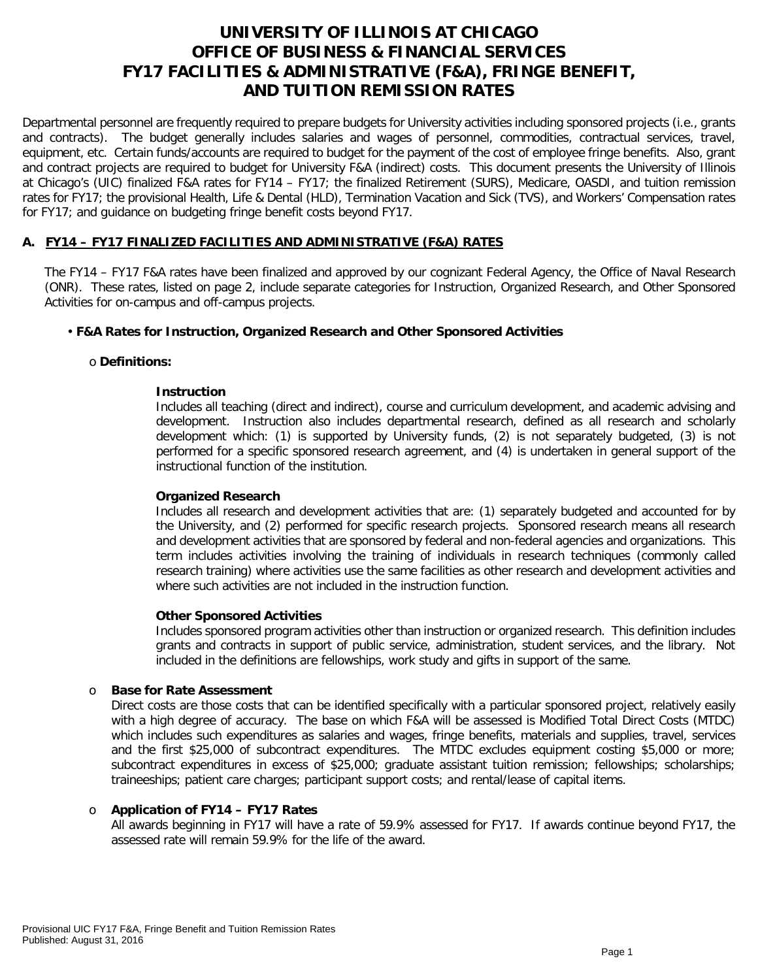# **UNIVERSITY OF ILLINOIS AT CHICAGO OFFICE OF BUSINESS & FINANCIAL SERVICES FY17 FACILITIES & ADMINISTRATIVE (F&A), FRINGE BENEFIT, AND TUITION REMISSION RATES**

Departmental personnel are frequently required to prepare budgets for University activities including sponsored projects (i.e., grants and contracts). The budget generally includes salaries and wages of personnel, commodities, contractual services, travel, equipment, etc. Certain funds/accounts are required to budget for the payment of the cost of employee fringe benefits. Also, grant and contract projects are required to budget for University F&A (indirect) costs. This document presents the University of Illinois at Chicago's (UIC) finalized F&A rates for FY14 – FY17; the finalized Retirement (SURS), Medicare, OASDI, and tuition remission rates for FY17; the provisional Health, Life & Dental (HLD), Termination Vacation and Sick (TVS), and Workers' Compensation rates for FY17; and guidance on budgeting fringe benefit costs beyond FY17.

# **A. FY14 – FY17 FINALIZED FACILITIES AND ADMINISTRATIVE (F&A) RATES**

The FY14 – FY17 F&A rates have been finalized and approved by our cognizant Federal Agency, the Office of Naval Research (ONR). These rates, listed on page 2, include separate categories for Instruction, Organized Research, and Other Sponsored Activities for on-campus and off-campus projects.

# • **F&A Rates for Instruction, Organized Research and Other Sponsored Activities**

## o **Definitions:**

## **Instruction**

Includes all teaching (direct and indirect), course and curriculum development, and academic advising and development. Instruction also includes departmental research, defined as all research and scholarly development which: (1) is supported by University funds, (2) is not separately budgeted, (3) is not performed for a specific sponsored research agreement, and (4) is undertaken in general support of the instructional function of the institution.

## **Organized Research**

Includes all research and development activities that are: (1) separately budgeted and accounted for by the University, and (2) performed for specific research projects. Sponsored research means all research and development activities that are sponsored by federal and non-federal agencies and organizations. This term includes activities involving the training of individuals in research techniques (commonly called research training) where activities use the same facilities as other research and development activities and where such activities are not included in the instruction function.

#### **Other Sponsored Activities**

Includes sponsored program activities other than instruction or organized research. This definition includes grants and contracts in support of public service, administration, student services, and the library. Not included in the definitions are fellowships, work study and gifts in support of the same.

#### o **Base for Rate Assessment**

Direct costs are those costs that can be identified specifically with a particular sponsored project, relatively easily with a high degree of accuracy. The base on which F&A will be assessed is Modified Total Direct Costs (MTDC) which includes such expenditures as salaries and wages, fringe benefits, materials and supplies, travel, services and the first \$25,000 of subcontract expenditures. The MTDC excludes equipment costing \$5,000 or more; subcontract expenditures in excess of \$25,000; graduate assistant tuition remission; fellowships; scholarships; traineeships; patient care charges; participant support costs; and rental/lease of capital items.

# o **Application of FY14 – FY17 Rates**

All awards beginning in FY17 will have a rate of 59.9% assessed for FY17. If awards continue beyond FY17, the assessed rate will remain 59.9% for the life of the award.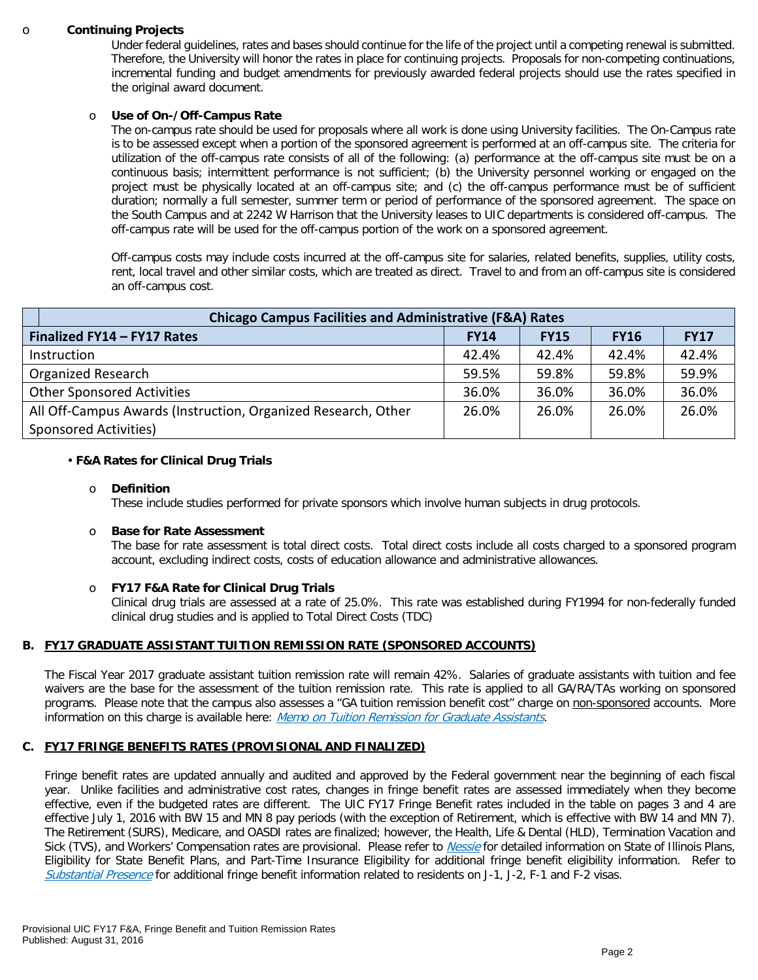#### o **Continuing Projects**

Under federal guidelines, rates and bases should continue for the life of the project until a competing renewal is submitted. Therefore, the University will honor the rates in place for continuing projects. Proposals for non-competing continuations, incremental funding and budget amendments for previously awarded federal projects should use the rates specified in the original award document.

## o **Use of On-/Off-Campus Rate**

The on-campus rate should be used for proposals where all work is done using University facilities. The On-Campus rate is to be assessed except when a portion of the sponsored agreement is performed at an off-campus site. The criteria for utilization of the off-campus rate consists of all of the following: (a) performance at the off-campus site must be on a continuous basis; intermittent performance is not sufficient; (b) the University personnel working or engaged on the project must be physically located at an off-campus site; and (c) the off-campus performance must be of sufficient duration; normally a full semester, summer term or period of performance of the sponsored agreement. The space on the South Campus and at 2242 W Harrison that the University leases to UIC departments is considered off-campus. The off-campus rate will be used for the off-campus portion of the work on a sponsored agreement.

Off-campus costs may include costs incurred at the off-campus site for salaries, related benefits, supplies, utility costs, rent, local travel and other similar costs, which are treated as direct. Travel to and from an off-campus site is considered an off-campus cost.

| <b>Chicago Campus Facilities and Administrative (F&amp;A) Rates</b> |             |             |             |             |  |  |  |
|---------------------------------------------------------------------|-------------|-------------|-------------|-------------|--|--|--|
| Finalized FY14 - FY17 Rates                                         | <b>FY14</b> | <b>FY15</b> | <b>FY16</b> | <b>FY17</b> |  |  |  |
| Instruction                                                         | 42.4%       | 42.4%       | 42.4%       | 42.4%       |  |  |  |
| <b>Organized Research</b>                                           | 59.5%       | 59.8%       | 59.8%       | 59.9%       |  |  |  |
| <b>Other Sponsored Activities</b>                                   | 36.0%       | 36.0%       | 36.0%       | 36.0%       |  |  |  |
| All Off-Campus Awards (Instruction, Organized Research, Other       | 26.0%       | 26.0%       | 26.0%       | 26.0%       |  |  |  |
| Sponsored Activities)                                               |             |             |             |             |  |  |  |

## • **F&A Rates for Clinical Drug Trials**

#### o **Definition**

These include studies performed for private sponsors which involve human subjects in drug protocols.

#### o **Base for Rate Assessment**

The base for rate assessment is total direct costs. Total direct costs include all costs charged to a sponsored program account, excluding indirect costs, costs of education allowance and administrative allowances.

# o **FY17 F&A Rate for Clinical Drug Trials**

Clinical drug trials are assessed at a rate of 25.0%. This rate was established during FY1994 for non-federally funded clinical drug studies and is applied to Total Direct Costs (TDC)

# **B. FY17 GRADUATE ASSISTANT TUITION REMISSION RATE (SPONSORED ACCOUNTS)**

The Fiscal Year 2017 graduate assistant tuition remission rate will remain 42%. Salaries of graduate assistants with tuition and fee waivers are the base for the assessment of the tuition remission rate. This rate is applied to all GA/RA/TAs working on sponsored programs. Please note that the campus also assesses a "GA tuition remission benefit cost" charge on non-sponsored accounts. More information on this charge is available here: [Memo on Tuition Remission for Graduate Assistants](https://www.obfs.uillinois.edu/common/pages/DisplayFile.aspx?itemId=436386).

#### **C. FY17 FRINGE BENEFITS RATES (PROVISIONAL AND FINALIZED)**

Fringe benefit rates are updated annually and audited and approved by the Federal government near the beginning of each fiscal year. Unlike facilities and administrative cost rates, changes in fringe benefit rates are assessed immediately when they become effective, even if the budgeted rates are different. The UIC FY17 Fringe Benefit rates included in the table on pages 3 and 4 are effective July 1, 2016 with BW 15 and MN 8 pay periods (with the exception of Retirement, which is effective with BW 14 and MN 7). The Retirement (SURS), Medicare, and OASDI rates are finalized; however, the Health, Life & Dental (HLD), Termination Vacation and Sick (TVS), and Workers' Compensation rates are provisional. Please refer to *[Nessie](http://nessie.uihr.uillinois.edu/cf/benefits/)* for detailed information on State of Illinois Plans, Eligibility for State Benefit Plans, and Part-Time Insurance Eligibility for additional fringe benefit eligibility information. Refer to [Substantial Presence](https://www.uic.edu/com/gme/rpm_comp___benefits.htm) for additional fringe benefit information related to residents on J-1, J-2, F-1 and F-2 visas.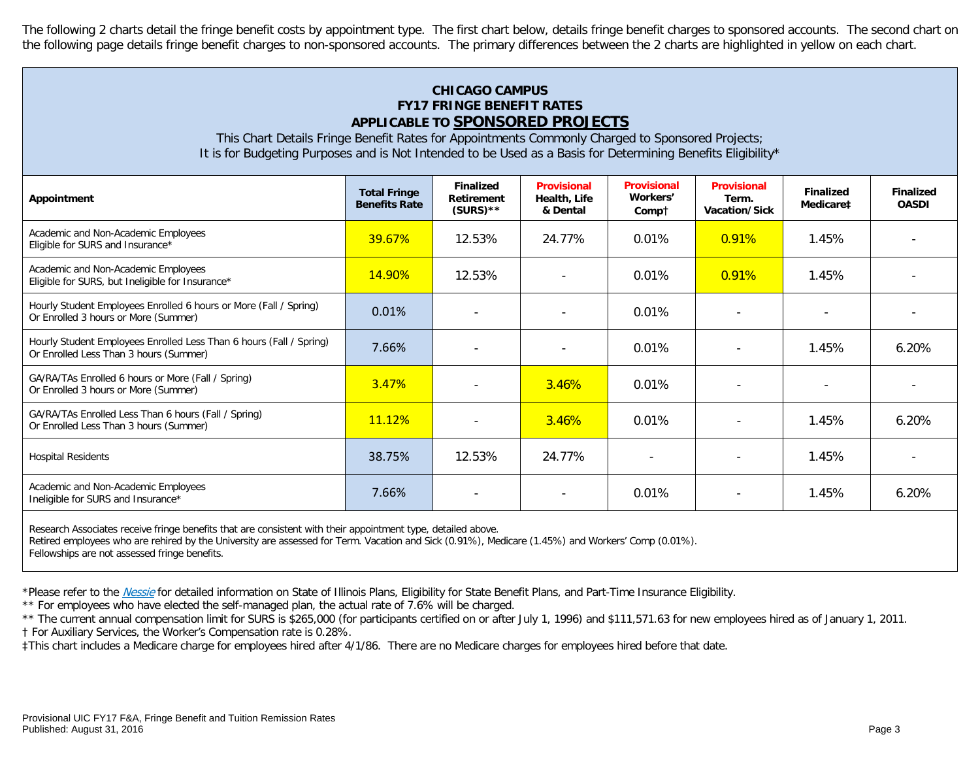The following 2 charts detail the fringe benefit costs by appointment type. The first chart below, details fringe benefit charges to sponsored accounts. The second chart on the following page details fringe benefit charges to non-sponsored accounts. The primary differences between the 2 charts are highlighted in yellow on each chart.

# **CHICAGO CAMPUS FY17 FRINGE BENEFIT RATES APPLICABLE TO SPONSORED PROJECTS**

This Chart Details Fringe Benefit Rates for Appointments Commonly Charged to Sponsored Projects; It is for Budgeting Purposes and is Not Intended to be Used as a Basis for Determining Benefits Eligibility\*

| Appointment                                                                                                   | <b>Total Fringe</b><br><b>Benefits Rate</b> | <b>Finalized</b><br>Retirement<br>$(SURS)$ ** | <b>Provisional</b><br>Health, Life<br>& Dental | <b>Provisional</b><br>Workers'<br>Compt | <b>Provisional</b><br>Term.<br>Vacation/Sick | <b>Finalized</b><br>Medicare‡ | <b>Finalized</b><br><b>OASDI</b> |
|---------------------------------------------------------------------------------------------------------------|---------------------------------------------|-----------------------------------------------|------------------------------------------------|-----------------------------------------|----------------------------------------------|-------------------------------|----------------------------------|
| Academic and Non-Academic Employees<br>Eligible for SURS and Insurance*                                       | 39.67%                                      | 12.53%                                        | 24.77%                                         | 0.01%                                   | 0.91%                                        | 1.45%                         |                                  |
| Academic and Non-Academic Employees<br>Eligible for SURS, but Ineligible for Insurance*                       | 14.90%                                      | 12.53%                                        |                                                | 0.01%                                   | 0.91%                                        | 1.45%                         |                                  |
| Hourly Student Employees Enrolled 6 hours or More (Fall / Spring)<br>Or Enrolled 3 hours or More (Summer)     | 0.01%                                       |                                               |                                                | 0.01%                                   |                                              |                               |                                  |
| Hourly Student Employees Enrolled Less Than 6 hours (Fall / Spring)<br>Or Enrolled Less Than 3 hours (Summer) | 7.66%                                       |                                               |                                                | 0.01%                                   |                                              | 1.45%                         | 6.20%                            |
| GA/RA/TAs Enrolled 6 hours or More (Fall / Spring)<br>Or Enrolled 3 hours or More (Summer)                    | 3.47%                                       | $\overline{\phantom{a}}$                      | 3.46%                                          | 0.01%                                   | $\overline{\phantom{a}}$                     |                               |                                  |
| GA/RA/TAs Enrolled Less Than 6 hours (Fall / Spring)<br>Or Enrolled Less Than 3 hours (Summer)                | 11.12%                                      | $\overline{\phantom{a}}$                      | 3.46%                                          | 0.01%                                   |                                              | 1.45%                         | $6.20\%$                         |
| <b>Hospital Residents</b>                                                                                     | 38.75%                                      | 12.53%                                        | 24.77%                                         |                                         |                                              | 1.45%                         |                                  |
| Academic and Non-Academic Employees<br>Ineligible for SURS and Insurance*                                     | 7.66%                                       |                                               |                                                | 0.01%                                   |                                              | 1.45%                         | 6.20%                            |

Research Associates receive fringe benefits that are consistent with their appointment type, detailed above.

Retired employees who are rehired by the University are assessed for Term. Vacation and Sick (0.91%), Medicare (1.45%) and Workers' Comp (0.01%).

Fellowships are not assessed fringe benefits.

\*Please refer to the [Nessie](http://nessie.uihr.uillinois.edu/cf/benefits/) for detailed information on State of Illinois Plans, Eligibility for State Benefit Plans, and Part-Time Insurance Eligibility.

\*\* For employees who have elected the self-managed plan, the actual rate of 7.6% will be charged.

\*\* The current annual compensation limit for SURS is \$265,000 (for participants certified on or after July 1, 1996) and \$111,571.63 for new employees hired as of January 1, 2011.

† For Auxiliary Services, the Worker's Compensation rate is 0.28%.

‡This chart includes a Medicare charge for employees hired after 4/1/86. There are no Medicare charges for employees hired before that date.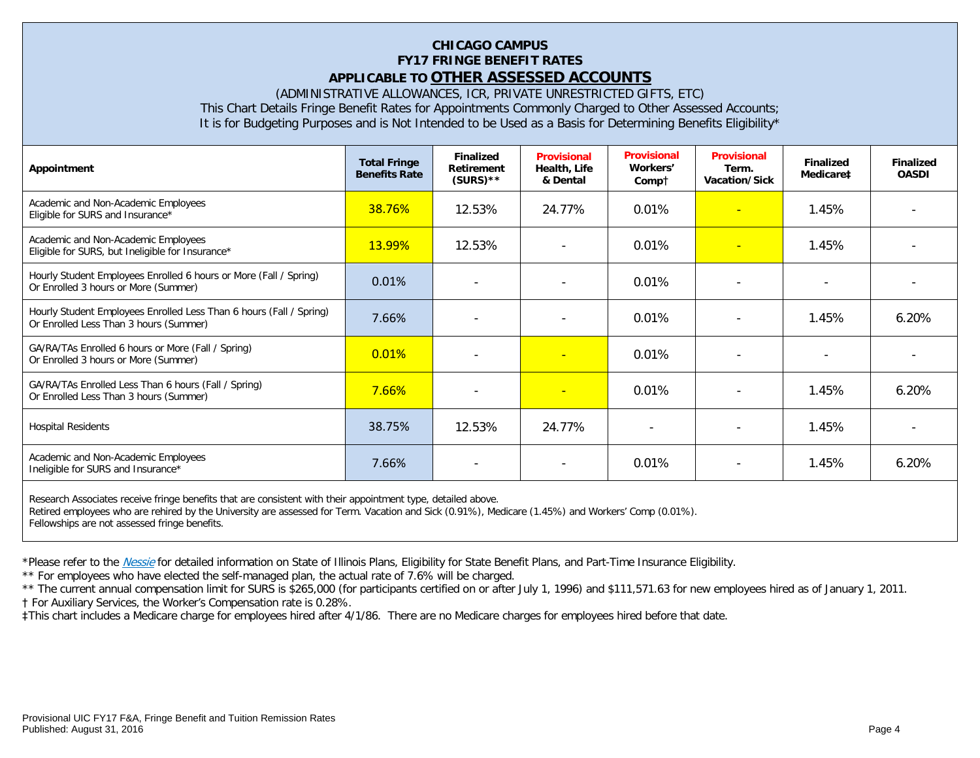# **CHICAGO CAMPUS FY17 FRINGE BENEFIT RATES APPLICABLE TO OTHER ASSESSED ACCOUNTS**

(ADMINISTRATIVE ALLOWANCES, ICR, PRIVATE UNRESTRICTED GIFTS, ETC)

This Chart Details Fringe Benefit Rates for Appointments Commonly Charged to Other Assessed Accounts;

It is for Budgeting Purposes and is Not Intended to be Used as a Basis for Determining Benefits Eligibility\*

| Appointment                                                                                                   | <b>Total Fringe</b><br><b>Benefits Rate</b> | <b>Finalized</b><br>Retirement<br>$(SURS)$ ** | <b>Provisional</b><br>Health, Life<br>& Dental | <b>Provisional</b><br>Workers'<br>Compt | <b>Provisional</b><br>Term.<br>Vacation/Sick | <b>Finalized</b><br>Medicare‡ | <b>Finalized</b><br><b>OASDI</b> |
|---------------------------------------------------------------------------------------------------------------|---------------------------------------------|-----------------------------------------------|------------------------------------------------|-----------------------------------------|----------------------------------------------|-------------------------------|----------------------------------|
| Academic and Non-Academic Employees<br>Eligible for SURS and Insurance*                                       | <b>38.76%</b>                               | 12.53%                                        | 24.77%                                         | 0.01%                                   | <b>1</b>                                     | 1.45%                         |                                  |
| Academic and Non-Academic Employees<br>Eligible for SURS, but Ineligible for Insurance*                       | <b>13.99%</b>                               | 12.53%                                        | $\blacksquare$                                 | 0.01%                                   | $\overline{\phantom{0}}$                     | 1.45%                         |                                  |
| Hourly Student Employees Enrolled 6 hours or More (Fall / Spring)<br>Or Enrolled 3 hours or More (Summer)     | 0.01%                                       |                                               |                                                | 0.01%                                   |                                              |                               |                                  |
| Hourly Student Employees Enrolled Less Than 6 hours (Fall / Spring)<br>Or Enrolled Less Than 3 hours (Summer) | 7.66%                                       |                                               |                                                | 0.01%                                   |                                              | 1.45%                         | 6.20%                            |
| GA/RA/TAs Enrolled 6 hours or More (Fall / Spring)<br>Or Enrolled 3 hours or More (Summer)                    | 0.01%                                       |                                               |                                                | 0.01%                                   | $\overline{\phantom{a}}$                     |                               |                                  |
| GA/RA/TAs Enrolled Less Than 6 hours (Fall / Spring)<br>Or Enrolled Less Than 3 hours (Summer)                | 7.66%                                       |                                               | ÷                                              | 0.01%                                   |                                              | 1.45%                         | 6.20%                            |
| <b>Hospital Residents</b>                                                                                     | 38.75%                                      | 12.53%                                        | 24.77%                                         | $\overline{\phantom{a}}$                | $\overline{\phantom{a}}$                     | 1.45%                         |                                  |
| Academic and Non-Academic Employees<br>Ineligible for SURS and Insurance*                                     | 7.66%                                       | $\overline{\phantom{a}}$                      | $\overline{\phantom{a}}$                       | 0.01%                                   | $\overline{\phantom{a}}$                     | 1.45%                         | 6.20%                            |
| Decearch Accoriates resolve fringe benefits that are consistent with their ennointment type, detailed above   |                                             |                                               |                                                |                                         |                                              |                               |                                  |

Research Associates receive fringe benefits that are consistent with their appointment type, detailed above. Retired employees who are rehired by the University are assessed for Term. Vacation and Sick (0.91%), Medicare (1.45%) and Workers' Comp (0.01%). Fellowships are not assessed fringe benefits.

\*Please refer to the [Nessie](http://nessie.uihr.uillinois.edu/cf/benefits/) for detailed information on State of Illinois Plans, Eligibility for State Benefit Plans, and Part-Time Insurance Eligibility.

\*\* For employees who have elected the self-managed plan, the actual rate of 7.6% will be charged.

\*\* The current annual compensation limit for SURS is \$265,000 (for participants certified on or after July 1, 1996) and \$111,571.63 for new employees hired as of January 1, 2011. † For Auxiliary Services, the Worker's Compensation rate is 0.28%.

‡This chart includes a Medicare charge for employees hired after 4/1/86. There are no Medicare charges for employees hired before that date.